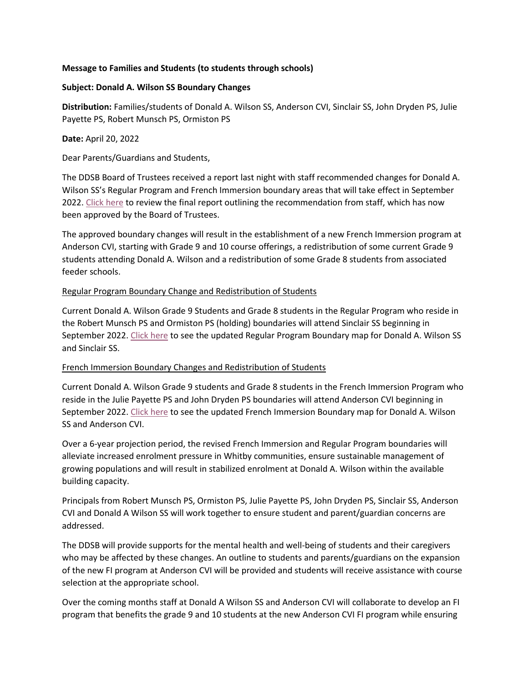## **Message to Families and Students (to students through schools)**

## **Subject: Donald A. Wilson SS Boundary Changes**

**Distribution:** Families/students of Donald A. Wilson SS, Anderson CVI, Sinclair SS, John Dryden PS, Julie Payette PS, Robert Munsch PS, Ormiston PS

**Date:** April 20, 2022

Dear Parents/Guardians and Students,

The DDSB Board of Trustees received a report last night with staff recommended changes for Donald A. Wilson SS's Regular Program and French Immersion boundary areas that will take effect in September 2022[. Click here](https://drive.google.com/file/d/1QoqcfXZEg24swHovAS-pjpJv9fMIT1W7/view?usp=sharing) to review the final report outlining the recommendation from staff, which has now been approved by the Board of Trustees.

The approved boundary changes will result in the establishment of a new French Immersion program at Anderson CVI, starting with Grade 9 and 10 course offerings, a redistribution of some current Grade 9 students attending Donald A. Wilson and a redistribution of some Grade 8 students from associated feeder schools.

## Regular Program Boundary Change and Redistribution of Students

Current Donald A. Wilson Grade 9 Students and Grade 8 students in the Regular Program who reside in the Robert Munsch PS and Ormiston PS (holding) boundaries will attend Sinclair SS beginning in September 2022[. Click here](https://drive.google.com/file/d/1IVGkmGoBh5O8k9qkqAmUbMRHZ7ADLnUm/view?usp=sharing) to see the updated Regular Program Boundary map for Donald A. Wilson SS and Sinclair SS.

## French Immersion Boundary Changes and Redistribution of Students

Current Donald A. Wilson Grade 9 students and Grade 8 students in the French Immersion Program who reside in the Julie Payette PS and John Dryden PS boundaries will attend Anderson CVI beginning in September 2022[. Click here](https://drive.google.com/file/d/1cLBPvRHSkLWCE04NIbRvLodnqYVITvwm/view?usp=sharing) to see the updated French Immersion Boundary map for Donald A. Wilson SS and Anderson CVI.

Over a 6-year projection period, the revised French Immersion and Regular Program boundaries will alleviate increased enrolment pressure in Whitby communities, ensure sustainable management of growing populations and will result in stabilized enrolment at Donald A. Wilson within the available building capacity.

Principals from Robert Munsch PS, Ormiston PS, Julie Payette PS, John Dryden PS, Sinclair SS, Anderson CVI and Donald A Wilson SS will work together to ensure student and parent/guardian concerns are addressed.

The DDSB will provide supports for the mental health and well-being of students and their caregivers who may be affected by these changes. An outline to students and parents/guardians on the expansion of the new FI program at Anderson CVI will be provided and students will receive assistance with course selection at the appropriate school.

Over the coming months staff at Donald A Wilson SS and Anderson CVI will collaborate to develop an FI program that benefits the grade 9 and 10 students at the new Anderson CVI FI program while ensuring